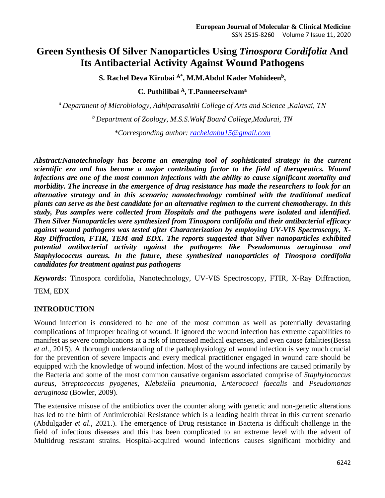# **Green Synthesis Of Silver Nanoparticles Using** *Tinospora Cordifolia* **And Its Antibacterial Activity Against Wound Pathogens**

**S. Rachel Deva Kirubai A\*, M.M.Abdul Kader Mohideen<sup>b</sup> ,**

**C. Puthilibai <sup>A</sup>, T.Panneerselvam<sup>a</sup>**

*<sup>a</sup>Department of Microbiology, Adhiparasakthi College of Arts and Science ,Kalavai, TN*

*<sup>b</sup>Department of Zoology, M.S.S.Wakf Board College,Madurai, TN*

*\*Corresponding author: [rachelanbu15@gmail.com](mailto:rachelanbu15@gmail.com)*

*Abstract:Nanotechnology has become an emerging tool of sophisticated strategy in the current scientific era and has become a major contributing factor to the field of therapeutics. Wound infections are one of the most common infections with the ability to cause significant mortality and morbidity. The increase in the emergence of drug resistance has made the researchers to look for an alternative strategy and in this scenario; nanotechnology combined with the traditional medical plants can serve as the best candidate for an alternative regimen to the current chemotherapy. In this study, Pus samples were collected from Hospitals and the pathogens were isolated and identified. Then Silver Nanoparticles were synthesized from Tinospora cordifolia and their antibacterial efficacy against wound pathogens was tested after Characterization by employing UV-VIS Spectroscopy, X-Ray Diffraction, FTIR, TEM and EDX. The reports suggested that Silver nanoparticles exhibited potential antibacterial activity against the pathogens like Pseudomonas aeruginosa and Staphylococcus aureus. In the future, these synthesized nanoparticles of Tinospora cordifolia candidates for treatment against pus pathogens*

*Keywords***:** Tinospora cordifolia, Nanotechnology, UV-VIS Spectroscopy, FTIR, X-Ray Diffraction, TEM, EDX

## **INTRODUCTION**

Wound infection is considered to be one of the most common as well as potentially devastating complications of improper healing of wound. If ignored the wound infection has extreme capabilities to manifest as severe complications at a risk of increased medical expenses, and even cause fatalities(Bessa *et al*., 2015). A thorough understanding of the pathophysiology of wound infection is very much crucial for the prevention of severe impacts and every medical practitioner engaged in wound care should be equipped with the knowledge of wound infection. Most of the wound infections are caused primarily by the Bacteria and some of the most common causative organism associated comprise of *Staphylococcus aureus, Streptococcus pyogenes, Klebsiella pneumonia, Enterococci faecalis* and *Pseudomonas aeruginosa* (Bowler, 2009).

The extensive misuse of the antibiotics over the counter along with genetic and non-genetic alterations has led to the birth of Antimicrobial Resistance which is a leading health threat in this current scenario (Abdulgader *et al*., 2021.). The emergence of Drug resistance in Bacteria is difficult challenge in the field of infectious diseases and this has been complicated to an extreme level with the advent of Multidrug resistant strains. Hospital-acquired wound infections causes significant morbidity and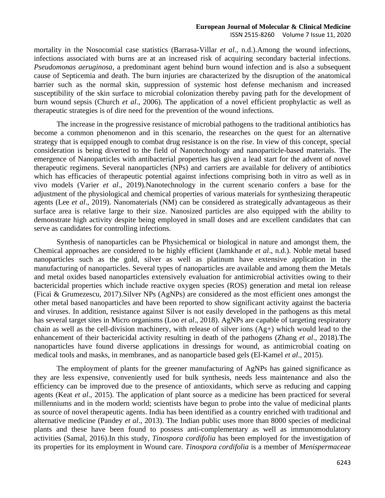#### **European Journal of Molecular & Clinical Medicine** ISSN 2515-8260 Volume 7 Issue 11, 2020

mortality in the Nosocomial case statistics (Barrasa-Villar *et al*., n.d.).Among the wound infections, infections associated with burns are at an increased risk of acquiring secondary bacterial infections. *Pseudomonas aeruginosa*, a predominant agent behind burn wound infection and is also a subsequent cause of Septicemia and death. The burn injuries are characterized by the disruption of the anatomical barrier such as the normal skin, suppression of systemic host defense mechanism and increased susceptibility of the skin surface to microbial colonization thereby paving path for the development of burn wound sepsis (Church *et al*., 2006). The application of a novel efficient prophylactic as well as therapeutic strategies is of dire need for the prevention of the wound infections.

The increase in the progressive resistance of microbial pathogens to the traditional antibiotics has become a common phenomenon and in this scenario, the researches on the quest for an alternative strategy that is equipped enough to combat drug resistance is on the rise. In view of this concept, special consideration is being diverted to the field of Nanotechnology and nanoparticle-based materials. The emergence of Nanoparticles with antibacterial properties has given a lead start for the advent of novel therapeutic regimens. Several nanoparticles (NPs) and carriers are available for delivery of antibiotics which has efficacies of therapeutic potential against infections comprising both in vitro as well as in vivo models (Varier *et al*., 2019).Nanotechnology in the current scenario confers a base for the adjustment of the physiological and chemical properties of various materials for synthesizing therapeutic agents (Lee *et al*., 2019). Nanomaterials (NM) can be considered as strategically advantageous as their surface area is relative large to their size. Nanosized particles are also equipped with the ability to demonstrate high activity despite being employed in small doses and are excellent candidates that can serve as candidates for controlling infections.

Synthesis of nanoparticles can be Physichemical or biological in nature and amongst them, the Chemical approaches are considered to be highly efficient (Jamkhande *et al*., n.d.). Noble metal based nanoparticles such as the gold, silver as well as platinum have extensive application in the manufacturing of nanoparticles. Several types of nanoparticles are available and among them the Metals and metal oxides based nanoparticles extensively evaluation for antimicrobial activities owing to their bactericidal properties which include reactive oxygen species (ROS) generation and metal ion release (Ficai & Grumezescu, 2017).Silver NPs (AgNPs) are considered as the most efficient ones amongst the other metal based nanoparticles and have been reported to show significant activity against the bacteria and viruses. In addition, resistance against Silver is not easily developed in the pathogens as this metal has several target sites in Micro organisms (Loo *et al*., 2018). AgNPs are capable of targeting respiratory chain as well as the cell-division machinery, with release of silver ions (Ag+) which would lead to the enhancement of their bactericidal activity resulting in death of the pathogens (Zhang *et al*., 2018).The nanoparticles have found diverse applications in dressings for wound, as antimicrobial coating on medical tools and masks, in membranes, and as nanoparticle based gels (El-Kamel *et al*., 2015).

The employment of plants for the greener manufacturing of AgNPs has gained significance as they are less expensive, conveniently used for bulk synthesis, needs less maintenance and also the efficiency can be improved due to the presence of antioxidants, which serve as reducing and capping agents (Keat *et al*., 2015). The application of plant source as a medicine has been practiced for several millenniums and in the modern world; scientists have begun to probe into the value of medicinal plants as source of novel therapeutic agents. India has been identified as a country enriched with traditional and alternative medicine (Pandey *et al*., 2013). The Indian public uses more than 8000 species of medicinal plants and these have been found to possess anti-complementary as well as immunomodulatory activities (Samal, 2016).In this study*, Tinospora cordifolia* has been employed for the investigation of its properties for its employment in Wound care. *Tinospora cordifolia* is a member of *Menispermaceae*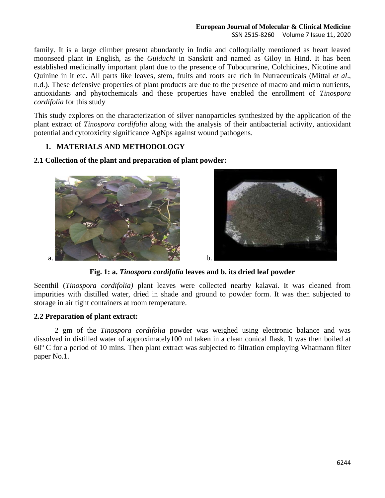family. It is a large climber present abundantly in India and colloquially mentioned as heart leaved moonseed plant in English, as the *Guiduchi* in Sanskrit and named as Giloy in Hind. It has been established medicinally important plant due to the presence of Tubocurarine, Colchicines, Nicotine and Quinine in it etc. All parts like leaves, stem, fruits and roots are rich in Nutraceuticals (Mittal *et al*., n.d.). These defensive properties of plant products are due to the presence of macro and micro nutrients, antioxidants and phytochemicals and these properties have enabled the enrollment of *Tinospora cordifolia* for this study

This study explores on the characterization of silver nanoparticles synthesized by the application of the plant extract of *Tinospora cordifolia* along with the analysis of their antibacterial activity, antioxidant potential and cytotoxicity significance AgNps against wound pathogens.

## **1. MATERIALS AND METHODOLOGY**



**2.1 Collection of the plant and preparation of plant powder:**

**Fig. 1: a.** *Tinospora cordifolia* **leaves and b. its dried leaf powder**

Seenthil (*Tinospora cordifolia)* plant leaves were collected nearby kalavai. It was cleaned from impurities with distilled water, dried in shade and ground to powder form. It was then subjected to storage in air tight containers at room temperature.

## **2.2 Preparation of plant extract:**

 2 gm of the *Tinospora cordifolia* powder was weighed using electronic balance and was dissolved in distilled water of approximately100 ml taken in a clean conical flask. It was then boiled at 60º C for a period of 10 mins. Then plant extract was subjected to filtration employing Whatmann filter paper No.1.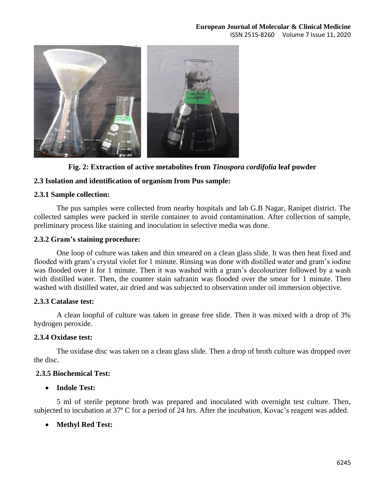

**Fig. 2: Extraction of active metabolites from** *Tinospora cordifolia* **leaf powder**

#### **2.3 Isolation and identification of organism from Pus sample:**

#### **2.3.1 Sample collection:**

The pus samples were collected from nearby hospitals and lab G.B Nagar, Ranipet district. The collected samples were packed in sterile container to avoid contamination. After collection of sample, preliminary process like staining and inoculation in selective media was done.

#### **2.3.2 Gram's staining procedure:**

One loop of culture was taken and thin smeared on a clean glass slide. It was then heat fixed and flooded with gram's crystal violet for 1 minute. Rinsing was done with distilled water and gram's iodine was flooded over it for 1 minute. Then it was washed with a gram's decolourizer followed by a wash with distilled water. Then, the counter stain safranin was flooded over the smear for 1 minute. Then washed with distilled water, air dried and was subjected to observation under oil immersion objective.

#### **2.3.3 Catalase test:**

A clean loopful of culture was taken in grease free slide. Then it was mixed with a drop of 3% hydrogen peroxide.

#### **2.3.4 Oxidase test:**

The oxidase disc was taken on a clean glass slide. Then a drop of broth culture was dropped over the disc.

#### **2.3.5 Biochemical Test:**

• **Indole Test:**

5 ml of sterile peptone broth was prepared and inoculated with overnight test culture. Then, subjected to incubation at 37º C for a period of 24 hrs. After the incubation, Kovac's reagent was added.

• **Methyl Red Test:**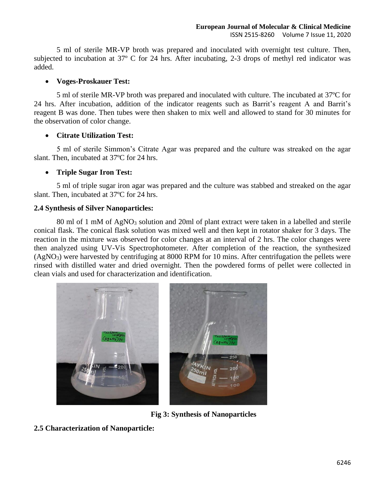5 ml of sterile MR-VP broth was prepared and inoculated with overnight test culture. Then, subjected to incubation at 37º C for 24 hrs. After incubating, 2-3 drops of methyl red indicator was added.

## • **Voges-Proskauer Test:**

5 ml of sterile MR-VP broth was prepared and inoculated with culture. The incubated at 37ºC for 24 hrs. After incubation, addition of the indicator reagents such as Barrit's reagent A and Barrit's reagent B was done. Then tubes were then shaken to mix well and allowed to stand for 30 minutes for the observation of color change.

## • **Citrate Utilization Test:**

5 ml of sterile Simmon's Citrate Agar was prepared and the culture was streaked on the agar slant. Then, incubated at 37ºC for 24 hrs.

## • **Triple Sugar Iron Test:**

5 ml of triple sugar iron agar was prepared and the culture was stabbed and streaked on the agar slant. Then, incubated at 37ºC for 24 hrs.

#### **2.4 Synthesis of Silver Nanoparticles:**

80 ml of 1 mM of AgNO<sub>3</sub> solution and 20ml of plant extract were taken in a labelled and sterile conical flask. The conical flask solution was mixed well and then kept in rotator shaker for 3 days. The reaction in the mixture was observed for color changes at an interval of 2 hrs. The color changes were then analyzed using UV-Vis Spectrophotometer. After completion of the reaction, the synthesized (AgNO3) were harvested by centrifuging at 8000 RPM for 10 mins. After centrifugation the pellets were rinsed with distilled water and dried overnight. Then the powdered forms of pellet were collected in clean vials and used for characterization and identification.



**Fig 3: Synthesis of Nanoparticles**

## **2.5 Characterization of Nanoparticle:**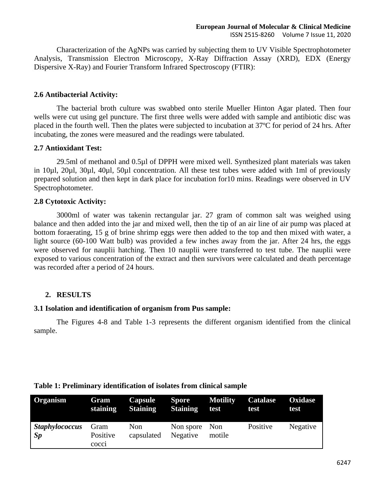Characterization of the AgNPs was carried by subjecting them to UV Visible Spectrophotometer Analysis, Transmission Electron Microscopy, X-Ray Diffraction Assay (XRD), EDX (Energy Dispersive X-Ray) and Fourier Transform Infrared Spectroscopy (FTIR):

#### **2.6 Antibacterial Activity:**

The bacterial broth culture was swabbed onto sterile Mueller Hinton Agar plated. Then four wells were cut using gel puncture. The first three wells were added with sample and antibiotic disc was placed in the fourth well. Then the plates were subjected to incubation at 37ºC for period of 24 hrs. After incubating, the zones were measured and the readings were tabulated.

#### **2.7 Antioxidant Test:**

29.5ml of methanol and 0.5µl of DPPH were mixed well. Synthesized plant materials was taken in 10µl, 20µl, 30µl, 40µl, 50µl concentration. All these test tubes were added with 1ml of previously prepared solution and then kept in dark place for incubation for10 mins. Readings were observed in UV Spectrophotometer.

#### **2.8 Cytotoxic Activity:**

3000ml of water was takenin rectangular jar. 27 gram of common salt was weighed using balance and then added into the jar and mixed well, then the tip of an air line of air pump was placed at bottom foraerating, 15 g of brine shrimp eggs were then added to the top and then mixed with water, a light source (60-100 Watt bulb) was provided a few inches away from the jar. After 24 hrs, the eggs were observed for nauplii hatching. Then 10 nauplii were transferred to test tube. The nauplii were exposed to various concentration of the extract and then survivors were calculated and death percentage was recorded after a period of 24 hours.

#### **2. RESULTS**

#### **3.1 Isolation and identification of organism from Pus sample:**

The Figures 4-8 and Table 1-3 represents the different organism identified from the clinical sample.

| <b>Organism</b>             | Gram                      | <b>Capsule</b>    | <b>Spore</b>              | <b>Motility</b> | <b>Catalase</b> | Oxidase  |
|-----------------------------|---------------------------|-------------------|---------------------------|-----------------|-----------------|----------|
|                             | staining                  | <b>Staining</b>   | <b>Staining</b>           | test            | test            | test     |
| <b>Staphylococcus</b><br>Sp | Gram<br>Positive<br>cocci | Non<br>capsulated | Non spore Non<br>Negative | motile          | Positive        | Negative |

#### **Table 1: Preliminary identification of isolates from clinical sample**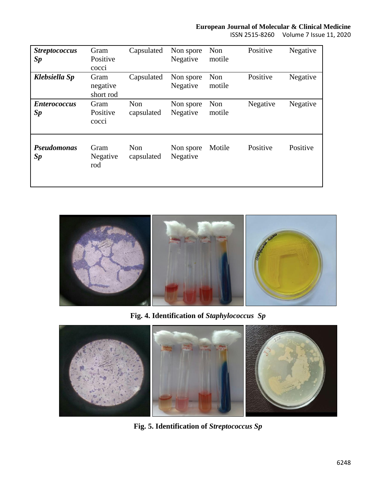## **European Journal of Molecular & Clinical Medicine**

ISSN 2515-8260 Volume 7 Issue 11, 2020

| <b>Streptococcus</b><br>Sp | Gram<br>Positive<br>cocci     | Capsulated        | Non spore<br>Negative | Non<br>motile | Positive | Negative |
|----------------------------|-------------------------------|-------------------|-----------------------|---------------|----------|----------|
| Klebsiella Sp              | Gram<br>negative<br>short rod | Capsulated        | Non spore<br>Negative | Non<br>motile | Positive | Negative |
| <b>Enterococcus</b><br>Sp  | Gram<br>Positive<br>cocci     | Non<br>capsulated | Non spore<br>Negative | Non<br>motile | Negative | Negative |
| <b>Pseudomonas</b><br>Sp   | Gram<br>Negative<br>rod       | Non<br>capsulated | Non spore<br>Negative | Motile        | Positive | Positive |



**Fig. 4. Identification of** *Staphylococcus Sp*



**Fig. 5. Identification of** *Streptococcus Sp*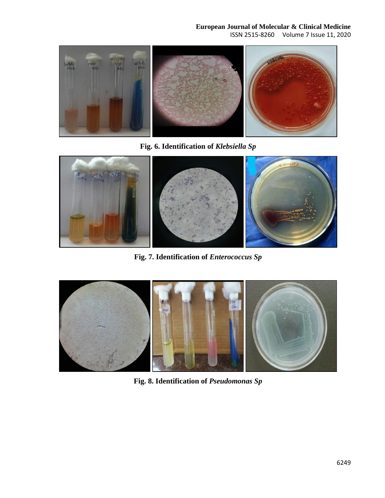## **European Journal of Molecular & Clinical Medicine**

ISSN 2515-8260 Volume 7 Issue 11, 2020



**Fig. 6. Identification of** *Klebsiella Sp*



**Fig. 7. Identification of** *Enterococcus Sp*



**Fig. 8. Identification of** *Pseudomonas Sp*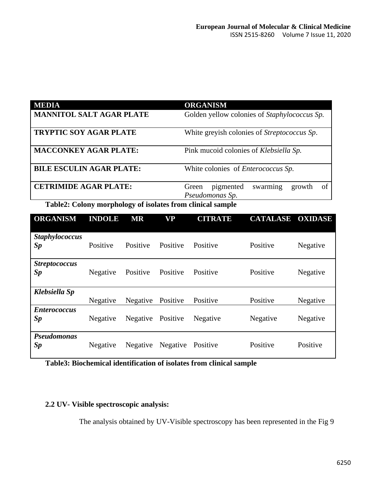| <b>MEDIA</b>                    | <b>ORGANISM</b>                                                   |  |  |  |
|---------------------------------|-------------------------------------------------------------------|--|--|--|
| <b>MANNITOL SALT AGAR PLATE</b> | Golden yellow colonies of <i>Staphylococcus Sp.</i>               |  |  |  |
| <b>TRYPTIC SOY AGAR PLATE</b>   | White greyish colonies of <i>Streptococcus Sp</i> .               |  |  |  |
| <b>MACCONKEY AGAR PLATE:</b>    | Pink mucoid colonies of Klebsiella Sp.                            |  |  |  |
| <b>BILE ESCULIN AGAR PLATE:</b> | White colonies of <i>Enterococcus Sp.</i>                         |  |  |  |
| <b>CETRIMIDE AGAR PLATE:</b>    | pigmented<br>swarming<br>growth<br>οf<br>Green<br>Pseudomonas Sp. |  |  |  |

**Table2: Colony morphology of isolates from clinical sample**

| <b>ORGANISM</b>             | <b>INDOLE</b> | <b>MR</b> | <b>VP</b> | <b>CITRATE</b> | <b>CATALASE</b> | <b>OXIDASE</b> |
|-----------------------------|---------------|-----------|-----------|----------------|-----------------|----------------|
| <b>Staphylococcus</b><br>Sp | Positive      | Positive  | Positive  | Positive       | Positive        | Negative       |
| <b>Streptococcus</b><br>Sp  | Negative      | Positive  | Positive  | Positive       | Positive        | Negative       |
| Klebsiella Sp               | Negative      | Negative  | Positive  | Positive       | Positive        | Negative       |
| <b>Enterococcus</b><br>Sp   | Negative      | Negative  | Positive  | Negative       | Negative        | Negative       |
| <b>Pseudomonas</b><br>Sp    | Negative      | Negative  | Negative  | Positive       | Positive        | Positive       |

**Table3: Biochemical identification of isolates from clinical sample**

## **2.2 UV- Visible spectroscopic analysis:**

The analysis obtained by UV-Visible spectroscopy has been represented in the Fig 9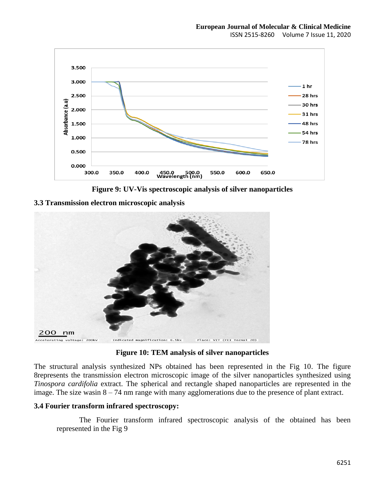

**Figure 9: UV-Vis spectroscopic analysis of silver nanoparticles**

## **3.3 Transmission electron microscopic analysis**



**Figure 10: TEM analysis of silver nanoparticles**

The structural analysis synthesized NPs obtained has been represented in the Fig 10. The figure 8represents the transmission electron microscopic image of the silver nanoparticles synthesized using *Tinospora cardifolia* extract. The spherical and rectangle shaped nanoparticles are represented in the image. The size wasin 8 – 74 nm range with many agglomerations due to the presence of plant extract.

#### **3.4 Fourier transform infrared spectroscopy:**

The Fourier transform infrared spectroscopic analysis of the obtained has been represented in the Fig 9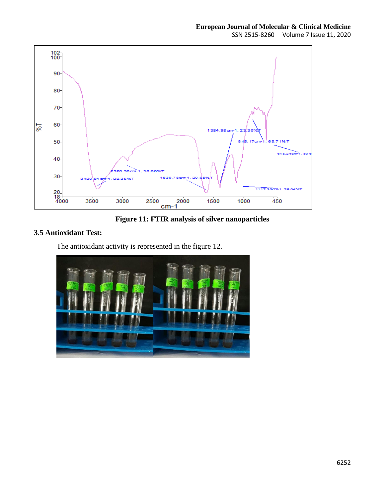ISSN 2515-8260 Volume 7 Issue 11, 2020



**Figure 11: FTIR analysis of silver nanoparticles**

## **3.5 Antioxidant Test:**

The antioxidant activity is represented in the figure 12.

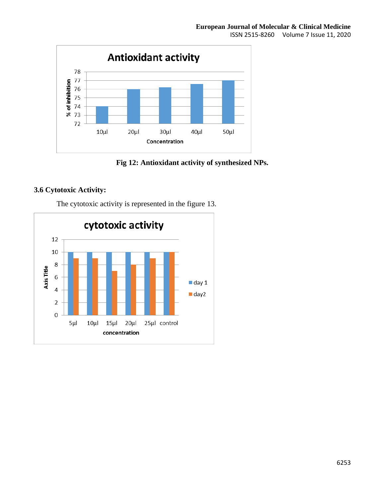

**Fig 12: Antioxidant activity of synthesized NPs.**

## **3.6 Cytotoxic Activity:**

The cytotoxic activity is represented in the figure 13.

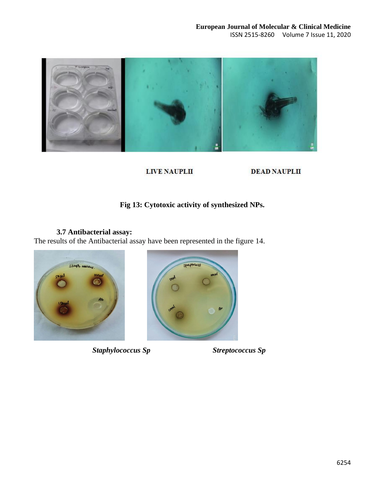

**LIVE NAUPLII** 

**DEAD NAUPLII** 

## **Fig 13: Cytotoxic activity of synthesized NPs.**

## **3.7 Antibacterial assay:**

The results of the Antibacterial assay have been represented in the figure 14.



 *Staphylococcus Sp Streptococcus Sp* 

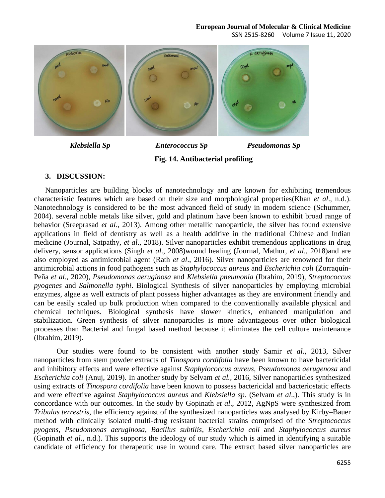#### **European Journal of Molecular & Clinical Medicine**

ISSN 2515-8260 Volume 7 Issue 11, 2020



 *Klebsiella Sp Enterococcus Sp Pseudomonas Sp*

**Fig. 14. Antibacterial profiling**

#### **3. DISCUSSION:**

Nanoparticles are building blocks of nanotechnology and are known for exhibiting tremendous characteristic features which are based on their size and morphological properties(Khan *et al*., n.d.). Nanotechnology is considered to be the most advanced field of study in modern science (Schummer, 2004). several noble metals like silver, gold and platinum have been known to exhibit broad range of behavior (Sreeprasad *et al*., 2013). Among other metallic nanoparticle, the silver has found extensive applications in field of dentistry as well as a health additive in the traditional Chinese and Indian medicine (Journal, Satpathy, *et al*., 2018). Silver nanoparticles exhibit tremendous applications in drug delivery, sensor applications (Singh *et al*., 2008)wound healing (Journal, Mathur, *et al*., 2018)and are also employed as antimicrobial agent (Rath *et al*., 2016). Silver nanoparticles are renowned for their antimicrobial actions in food pathogens such as *Staphylococcus aureus* and *Escherichia coli* (Zorraquín-Peña *et al*., 2020), *Pseudomonas aeruginosa* and *Klebsiella pneumonia* (Ibrahim, 2019), *Streptococcus pyogenes* and *Salmonella typhi*. Biological Synthesis of silver nanoparticles by employing microbial enzymes, algae as well extracts of plant possess higher advantages as they are environment friendly and can be easily scaled up bulk production when compared to the conventionally available physical and chemical techniques. Biological synthesis have slower kinetics, enhanced manipulation and stabilization. Green synthesis of silver nanoparticles is more advantageous over other biological processes than Bacterial and fungal based method because it eliminates the cell culture maintenance (Ibrahim, 2019).

Our studies were found to be consistent with another study Samir *et al.,* 2013, Silver nanoparticles from stem powder extracts of *Tinospora cordifolia* have been known to have bactericidal and inhibitory effects and were effective against *Staphylococcus aureus*, *Pseudomonas aerugenosa* and *Escherichia coli* (Anuj, 2019). In another study by Selvam *et al.,* 2016, Silver nanoparticles synthesized using extracts of *Tinospora cordifolia* have been known to possess bactericidal and bacteriostatic effects and were effective against *Staphylococcus aureus* and *Klebsiella sp.* (Selvam *et al*.,). This study is in concordance with our outcomes. In the study by Gopinath *et al*., 2012, AgNpS were synthesized from *Tribulus terrestris*, the efficiency against of the synthesized nanoparticles was analysed by Kirby–Bauer method with clinically isolated multi-drug resistant bacterial strains comprised of the *Streptococcus pyogens*, *Pseudomonas aeruginosa, Bacillus subtilis, Escherichia coli* and *Staphylococcus aureus* (Gopinath *et al*., n.d.). This supports the ideology of our study which is aimed in identifying a suitable candidate of efficiency for therapeutic use in wound care. The extract based silver nanoparticles are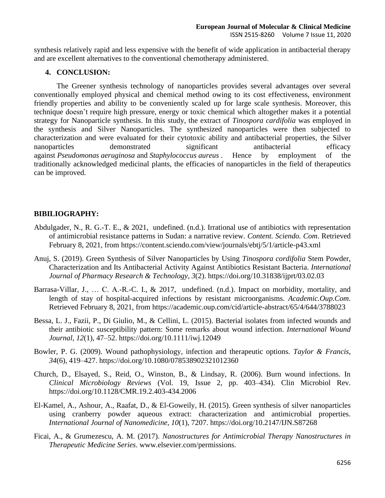synthesis relatively rapid and less expensive with the benefit of wide application in antibacterial therapy and are excellent alternatives to the conventional chemotherapy administered.

#### **4. CONCLUSION:**

The Greener synthesis technology of nanoparticles provides several advantages over several conventionally employed physical and chemical method owing to its cost effectiveness, environment friendly properties and ability to be conveniently scaled up for large scale synthesis. Moreover, this technique doesn't require high pressure, energy or toxic chemical which altogether makes it a potential strategy for Nanoparticle synthesis. In this study, the extract of *Tinospora cardifolia* was employed in the synthesis and Silver Nanoparticles. The synthesized nanoparticles were then subjected to characterization and were evaluated for their cytotoxic ability and antibacterial properties, the Silver nanoparticles demonstrated significant antibacterial efficacy against *[Pseudomonas](https://www.sciencedirect.com/topics/earth-and-planetary-sciences/pseudomonas) aeruginosa* and *[Staphylococcus](https://www.sciencedirect.com/topics/earth-and-planetary-sciences/staphylococcus) aureus* . Hence by employment of the traditionally acknowledged medicinal plants, the efficacies of nanoparticles in the field of therapeutics can be improved.

## **BIBILIOGRAPHY:**

- Abdulgader, N., R. G.-T. E., & 2021, undefined. (n.d.). Irrational use of antibiotics with representation of antimicrobial resistance patterns in Sudan: a narrative review. *Content. Sciendo. Com*. Retrieved February 8, 2021, from https://content.sciendo.com/view/journals/ebtj/5/1/article-p43.xml
- Anuj, S. (2019). Green Synthesis of Silver Nanoparticles by Using *Tinospora cordifolia* Stem Powder, Characterization and Its Antibacterial Activity Against Antibiotics Resistant Bacteria. *International Journal of Pharmacy Research & Technology*, *3*(2). https://doi.org/10.31838/ijprt/03.02.03
- Barrasa-Villar, J., … C. A.-R.-C. I., & 2017, undefined. (n.d.). Impact on morbidity, mortality, and length of stay of hospital-acquired infections by resistant microorganisms. *Academic.Oup.Com*. Retrieved February 8, 2021, from https://academic.oup.com/cid/article-abstract/65/4/644/3788023
- Bessa, L. J., Fazii, P., Di Giulio, M., & Cellini, L. (2015). Bacterial isolates from infected wounds and their antibiotic susceptibility pattern: Some remarks about wound infection. *International Wound Journal*, *12*(1), 47–52. https://doi.org/10.1111/iwj.12049
- Bowler, P. G. (2009). Wound pathophysiology, infection and therapeutic options. *Taylor & Francis*, *34*(6), 419–427. https://doi.org/10.1080/078538902321012360
- Church, D., Elsayed, S., Reid, O., Winston, B., & Lindsay, R. (2006). Burn wound infections. In *Clinical Microbiology Reviews* (Vol. 19, Issue 2, pp. 403–434). Clin Microbiol Rev. https://doi.org/10.1128/CMR.19.2.403-434.2006
- El-Kamel, A., Ashour, A., Raafat, D., & El-Goweily, H. (2015). Green synthesis of silver nanoparticles using cranberry powder aqueous extract: characterization and antimicrobial properties. *International Journal of Nanomedicine*, *10*(1), 7207. https://doi.org/10.2147/IJN.S87268
- Ficai, A., & Grumezescu, A. M. (2017). *Nanostructures for Antimicrobial Therapy Nanostructures in Therapeutic Medicine Series*. www.elsevier.com/permissions.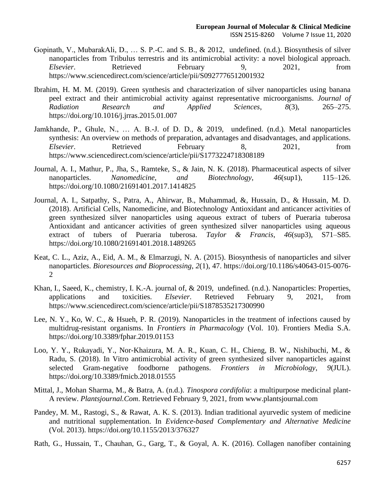- Gopinath, V., MubarakAli, D., … S. P.-C. and S. B., & 2012, undefined. (n.d.). Biosynthesis of silver nanoparticles from Tribulus terrestris and its antimicrobial activity: a novel biological approach. *Elsevier*. Retrieved February 9, 2021, from https://www.sciencedirect.com/science/article/pii/S0927776512001932
- Ibrahim, H. M. M. (2019). Green synthesis and characterization of silver nanoparticles using banana peel extract and their antimicrobial activity against representative microorganisms. *Journal of Radiation Research and Applied Sciences*, *8*(3), 265–275. https://doi.org/10.1016/j.jrras.2015.01.007
- Jamkhande, P., Ghule, N., … A. B.-J. of D. D., & 2019, undefined. (n.d.). Metal nanoparticles synthesis: An overview on methods of preparation, advantages and disadvantages, and applications. *Elsevier*. Retrieved February 8, 2021, from https://www.sciencedirect.com/science/article/pii/S1773224718308189
- Journal, A. I., Mathur, P., Jha, S., Ramteke, S., & Jain, N. K. (2018). Pharmaceutical aspects of silver nanoparticles. *Nanomedicine, and Biotechnology*, *46*(sup1), 115–126. https://doi.org/10.1080/21691401.2017.1414825
- Journal, A. I., Satpathy, S., Patra, A., Ahirwar, B., Muhammad, &, Hussain, D., & Hussain, M. D. (2018). Artificial Cells, Nanomedicine, and Biotechnology Antioxidant and anticancer activities of green synthesized silver nanoparticles using aqueous extract of tubers of Pueraria tuberosa Antioxidant and anticancer activities of green synthesized silver nanoparticles using aqueous extract of tubers of Pueraria tuberosa. *Taylor & Francis*, *46*(sup3), S71–S85. https://doi.org/10.1080/21691401.2018.1489265
- Keat, C. L., Aziz, A., Eid, A. M., & Elmarzugi, N. A. (2015). Biosynthesis of nanoparticles and silver nanoparticles. *Bioresources and Bioprocessing*, *2*(1), 47. https://doi.org/10.1186/s40643-015-0076-  $\mathcal{L}$
- Khan, I., Saeed, K., chemistry, I. K.-A. journal of, & 2019, undefined. (n.d.). Nanoparticles: Properties, applications and toxicities. *Elsevier*. Retrieved February 9, 2021, from https://www.sciencedirect.com/science/article/pii/S1878535217300990
- Lee, N. Y., Ko, W. C., & Hsueh, P. R. (2019). Nanoparticles in the treatment of infections caused by multidrug-resistant organisms. In *Frontiers in Pharmacology* (Vol. 10). Frontiers Media S.A. https://doi.org/10.3389/fphar.2019.01153
- Loo, Y. Y., Rukayadi, Y., Nor-Khaizura, M. A. R., Kuan, C. H., Chieng, B. W., Nishibuchi, M., & Radu, S. (2018). In Vitro antimicrobial activity of green synthesized silver nanoparticles against selected Gram-negative foodborne pathogens. *Frontiers in Microbiology*, *9*(JUL). https://doi.org/10.3389/fmicb.2018.01555
- Mittal, J., Mohan Sharma, M., & Batra, A. (n.d.). *Tinospora cordifolia*: a multipurpose medicinal plant-A review. *Plantsjournal.Com*. Retrieved February 9, 2021, from www.plantsjournal.com
- Pandey, M. M., Rastogi, S., & Rawat, A. K. S. (2013). Indian traditional ayurvedic system of medicine and nutritional supplementation. In *Evidence-based Complementary and Alternative Medicine* (Vol. 2013). https://doi.org/10.1155/2013/376327
- Rath, G., Hussain, T., Chauhan, G., Garg, T., & Goyal, A. K. (2016). Collagen nanofiber containing